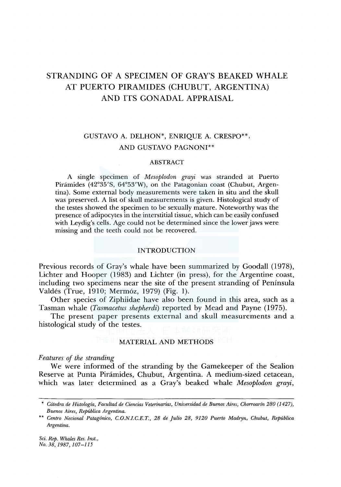# STRANDING OF A SPECIMEN OF *CRAY'S* .BEAKED WHALE AT PUERTO PIRAMIDES (CHUBUT, ARGENTINA) AND ITS GONADAL APPRAISAL

## GUSTAVO A. DELHON\*, ENRIQUE A. CRESPO\*\*, AND GUSTAVO PAGNONI\*\*

#### ABSTRACT

A single specimen of *Mesoplodon grayi* was stranded at Puerto Pirámides (42°35'S, 64°53'W), on the Patagonian coast (Chubut, Argentina). Some external body measurements were taken in situ and the skull was preserved. A list of skull measurements is given. Histological study of the testes showed the specimen to be sexually mature. Noteworthy was the presence of adipocytes in the interstitial tissue, which can be easily confused with Leydig's cells. Age could not be determined since the lower jaws were missing and the teeth could not be recovered.

#### INTRODUCTION

Previous records of Gray's whale have been summarized by Goodall (1978), Lichter and Hooper (1983) and Lichter (in press), for the Argentine coast, including two specimens near the site of the present stranding of Peninsula Valdes (True, 1910; Merm6z, 1979) (Fig. 1).

Other species of Ziphiidae have also been found in this area, such as a Tasman whale *(Tasmacetus shepherdi)* reported by Mead and Payne (1975).

The present paper presents external and skull measurements and a histological study of the testes.

## MATERIAL AND METHODS

### *Features of the stranding*

We were informed of the stranding by the Gamekeeper of the Sealion Reserve at Punta Pirámides, Chubut, Argentina. A medium-sized cetacean, which was later determined as a Gray's beaked whale *Mesoplodon grayi,* 

*Sci. Rep. Whales Res. Inst., No.38,1987,107-115* 

<sup>•</sup> *Catedra de Histologia, Facultad de Ciencias Veterinarias, Universidad de Buenos Aires, Chorroarin 280 (1427), Buenos Aires, Republica Argentina.* 

<sup>\*\*</sup> *Centro Necional Patag6nico, C.O.N.I.C.E.T., 28 de Julio 28, 9120 Puerto Madryn, Chubut, Republica Argentina.*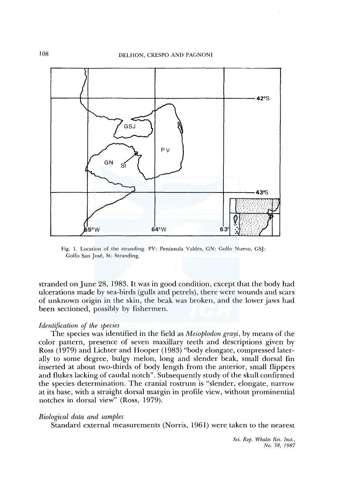

Fig. 1. Location of the stranding. PV: Peninsula Valdes, GN: Golfo Nuevo, GSJ: Golfo San Jose, St: Stranding.

stranded on June 28, 1983. It was in good condition, except that the body had ulcerations made by sea-birds (gulls and petrels), there were wounds and scars of unknown origin in the skin, the beak was broken, and the lower jaws had been sectioned, possibly by fishermen.

### *Identification of the species*

The species was identified in the field as *Mesoplodon grayi,* by means of the color pattern, presence of seven maxillary teeth and descriptions given by Ross (1979) and Lichter and Hooper (1983) "body elongate, compressed laterally to some degree, bulgy melon, long and slender beak, small dorsal fin inserted at about two-thirds of body length from the anterior, small flippers and flukes lacking of caudal notch". Subsequently study of the skull confirmed the species determination. The cranial rostrum is "slender, elongate, narrow at its base, with a straight dorsal margin in profile view, without prominential notches in dorsal view" (Ross, 1979).

#### *Biological data and samples*

Standard external measurements (Norris, 1961) were taken to the nearest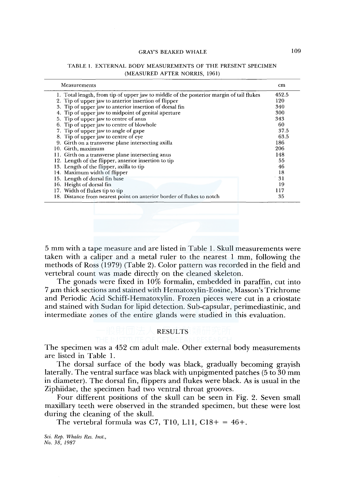#### GRAY'S BEAKED WHALE

| Measurements                                                                            | cm   |
|-----------------------------------------------------------------------------------------|------|
| 1. Total length, from tip of upper jaw to middle of the posterior margin of tail flukes |      |
| 2. Tip of upper jaw to anterior insertion of flipper                                    | 120  |
| 3. Tip of upper jaw to anterior insertion of dorsal fin                                 | 340  |
| 4. Tip of upper jaw to midpoint of genital aperture                                     | 300  |
| 5. Tip of upper jaw to centre of anus                                                   | 343  |
| 6. Tip of upper jaw to centre of blowhole                                               | 60   |
| 7. Tip of upper jaw to angle of gape                                                    | 37.5 |
| 8. Tip of upper jaw to centre of eye                                                    | 63.5 |
| 9. Girth on a transverse plane intersecting axilla                                      | 186  |
| 10. Girth, maximum                                                                      | 206  |
| 11. Girth on a transverse plane intersecting anus                                       | 148  |
| 12. Length of the flipper, anterior insertion to tip                                    | 55   |
| 13. Length of the flipper, axilla to tip                                                | 46   |
| 14. Maximum width of flipper                                                            | 18   |
| 15. Length of dorsal fin base                                                           | 31   |
| 16. Height of dorsal fin                                                                | 19   |
| 17. Width of flukes tip to tip                                                          | 117  |
| 18. Distance from nearest point on anterior border of flukes to notch                   | 35   |

#### TABLE I. EXTERNAL BODY MEASUREMENTS OF THE PRESENT SPECIMEN (MEASURED AFTER NORRIS, 1961)

5 mm with a tape measure and are listed in Table 1. Skull measurements were taken with a caliper and a metal ruler to the nearest 1 mm, following the methods of Ross (1979) (Table 2). Color pattern was recorded in the field and vertebral count was made directly on the cleaned skeleton.

The gonads were fixed in 10% formalin, embedded in paraffin, cut into  $7 \mu$ m thick sections and stained with Hematoxylin-Eosine, Masson's Trichrome and Periodic Acid Schiff-Hematoxylin. Frozen pieces were cut in a criostate and stained with Sudan for lipid detection. Sub-capsular, perimediastinic, and intermediate zones of the entire glands were studied in this evaluation.

#### RESULTS

The specimen was a 452 cm adult male. Other external body measurements are listed in Table 1.

The dorsal surface of the body was black, gradually becoming grayish laterally. The ventral surface was black with unpigmented patches (5 to 30 mm in diameter). The dorsal fin, flippers and flukes were black. As is usual in the Ziphiidae, the specimen had two ventral throat grooves.

Four different positions of the skull can be seen in Fig. 2. Seven small maxillary teeth were observed in the stranded specimen, but these were lost during the cleaning of the skull.

The vertebral formula was C7, T10, L11, C18+ =  $46+$ .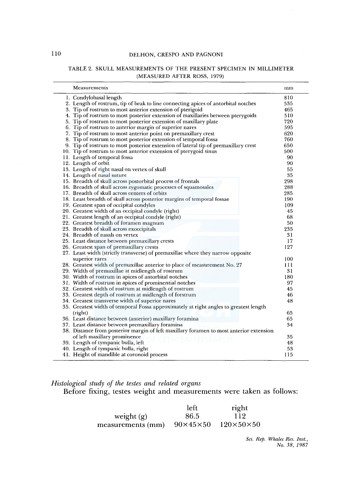## 110 DELHON, CRESPO AND PAGNONI

### TABLE 2. SKULL MEASUREMENTS OF THE PRESENT SPECIMEN IN MILLIMETER (MEASURED AFTER ROSS, 1979)

| Measurements                                                                            | mm  |  |
|-----------------------------------------------------------------------------------------|-----|--|
| 1. Condylobasal length                                                                  | 810 |  |
| 2. Length of rostrum, tip of beak to line connecting apices of antorbital notches       | 535 |  |
| 3. Tip of rostrum to most anterior extension of pterigoid                               | 465 |  |
| 4. Tip of rostrum to most posterior extension of maxillaries between ptery goids        | 510 |  |
| 5. Tip of rostrum to most posterior extension of maxillary plate                        | 720 |  |
| 6. Tip of rostrum to anterior margin of superior nares                                  | 595 |  |
| 7. Tip of rostrum to most anterior point on premaxillary crest                          | 620 |  |
| 8. Tip of rostrum to most posterior extension of temporal fossa                         | 760 |  |
| 9. Tip of rostrum to most posterior extension of lateral tip of premaxillary crest      | 650 |  |
| 10. Tip of rostrum to most anterior extension of pterygoid sinus                        | 500 |  |
| 11. Length of temporal fossa                                                            | 90  |  |
| 12. Length of orbit                                                                     | 90  |  |
| 13. Length of right nasal on vertex of skull                                            | 55  |  |
| 14. Length of nasal suture                                                              | 35  |  |
| 15. Breadth of skull across postorbital process of frontals                             | 298 |  |
| 16. Breadth of skull across zygomatic processes of squamosales                          | 288 |  |
| 17. Breadth of skull across centers of orbits                                           | 285 |  |
| 18. Least breadth of skull across posterior margins of temporal fossae                  | 190 |  |
| 19. Greatest span of occipital condyles                                                 | 109 |  |
| 20. Greatest width of an occipital condyle (right)                                      | 45  |  |
| 21. Greatest length of an occipital condyle (right)                                     | 68  |  |
| 22. Greatest breadth of foramen magnum                                                  | 50  |  |
| 23. Breadth of skull across exoccipitals                                                | 235 |  |
| 24. Breadth of nasals on vertex                                                         | 31  |  |
| 25. Least distance between premaxillary crests                                          | 17  |  |
| 26. Greatest span of premaxillary crests                                                | 127 |  |
| 27. Least width (strictly transverse) of premaxillae where they narrow opposite         |     |  |
| superior rares                                                                          | 100 |  |
| 28. Greatest width of premaxillae anterior to place of measurement No. 27               | 111 |  |
| 29. Width of premaxillae at midlength of rostrum                                        | 31  |  |
| 30. Width of rostrum in apices of antorbital notches                                    | 180 |  |
| 31. Width of rostrum in apices of prominential notches                                  | 97  |  |
| 32. Greatest width of rostrum at midlength of rostrum                                   | 45  |  |
| 33. Greatest depth of rostrum at midlength of forstrum                                  | 46  |  |
| 34. Greatest transverse width of superior nares                                         | 48  |  |
| 35. Greatest width of temporal Fossa approximately at right angles to greatest length   |     |  |
| (right)                                                                                 | 65  |  |
| 36. Least distance between (anterior) maxillary foramina                                | 65  |  |
| 37. Least distance between premaxillary foramina                                        | 34  |  |
| 38. Distance from posterior margin of left maxillary foramen to most anterior extension |     |  |
| of left maxillary prominence                                                            | 35  |  |
| 39. Length of tympanic bulla, left                                                      | 48  |  |
| 40. Length of tympanic bulla, right                                                     | 53  |  |
| 41. Height of mandible at coronoid process                                              | 115 |  |

## *Histological study of the testes and related organs*

Before fixing, testes weight and measurements were taken as follows:

|                   | left                 | right                 |
|-------------------|----------------------|-----------------------|
| weight $(g)$      | 86.5                 | 112                   |
| measurements (mm) | $90\times45\times50$ | $120\times50\times50$ |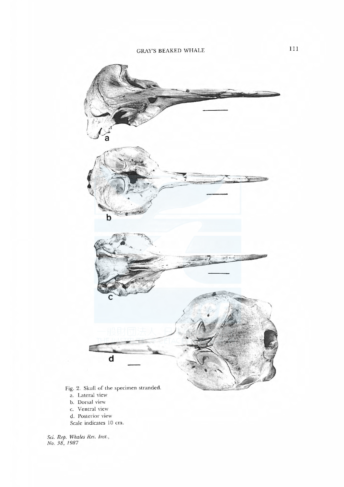

- Fig. 2. Skull of the specimen stranded.
	- a. Lateral view
	- b. Dorsal view
	- c. Ventral view
	- d. Posterior view
	- Scale indicates 10 cm.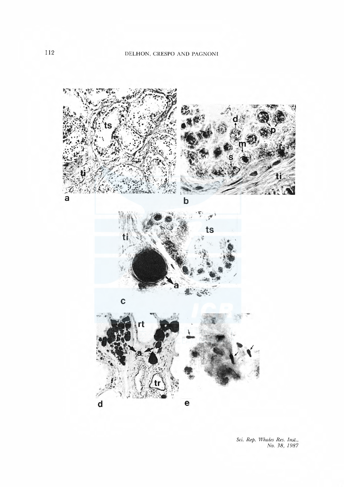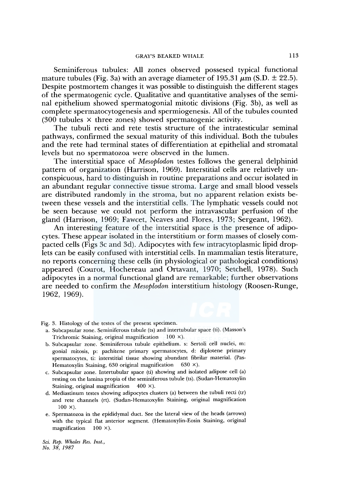Seminiferous tubules: All zones observed possesed typical functional mature tubules (Fig. 3a) with an average diameter of 195.31  $\mu$ m (S.D.  $\pm$  22.5). Despite postmortem changes it was possible to distinguish the different stages of the spermatogenic cycle. Qualitative and quantitative analyses of the seminal epithelium showed spermatogonial mitotic divisions (Fig. 3b), as well as complete spermatocytogenesis and spermiogenesis. All of the tubules counted  $(300 \text{ tubules} \times \text{three zones})$  showed spermatogenic activity.

The tubuli recti and rete testis structure of the intratesticular seminal pathways, confirmed the sexual maturity of this individual. Both the tubules and the rete had terminal states of differentiation at epithelial and stromatal levels but no spermatozoa were observed in the lumen.

The interstitial space of *Mesoplodon* testes follows the general delphinid pattern of organization (Harrison, 1969). Interstitial cells are relatively unconspicuous, hard to distinguish in routine preparations and occur isolated in an abundant regular connective tissue stroma. Large and small blood vessels are distributed randomly in the stroma, but no apparent relation exists between these vessels and the interstitial cells. The lymphatic vessels could not be seen because we could not perform the intravascular perfusion of the gland (Harrison, 1969; Fawcet, Neaves and Flores, 1973; Sergeant, 1962).

An interesting feature of the interstitial space is the presence of adipocytes. These appear isolated in the interstitium or form masses of closely compacted cells (Figs 3c and 3d). Adipocytes with few intracytoplasmic lipid droplets can be easily confused with interstitial cells. In mammalian testis literature, no reports concerning these cells (in physiological or pathological conditions) appeared (Courot, Hochereau and Ortavant, 1970; Setchell, 1978). Such adipocytes in a normal functional gland are remarkable; further observations are needed to confirm the *Mesoplodon* interstitium histology (Roosen-Runge, 1962, 1969).

Fig. 3. Histology of the testes of the present specimen.

- a. Subcapsular zone. Seminiferous tubule (ts) and intertubular space (ti). (Masson's Trichromic Staining, original magnification  $100 \times$ ).
- b. Subcapsular zone. Seminiferous tubule epithelium. s: Sertoli cell nuclei, m: gonial mitosis, p: pachitene primary spermatocytes, d: diplotene primary spermatocytes, ti: interstitial tissue showing abundant fibrilar material. (Pas-Hematoxylin Staining, 630 original magnification 630  $\times$ ).
- c. Subcapsular zone. lntertubular space (ti) showing and isolated adipose cell (a) resting on the lamina propia of the seminiferous tubule (ts). (Sudan-Hematoxylin Staining, original magnification  $400 \times$ ).
- d. Mediastinum testes showing adipocytes clusters (a) between the tubuli recti (tr) and rete channels (rt). (Sudan-Hematoxylin Staining, original magnification  $100 \times$ ).
- e. Spermatozoa in the epididymal duct. See the lateral view of the heads (arrows) with the typical flat anterior segment. (Hematoxylin-Eosin Staining, original magnification  $100 \times$ ).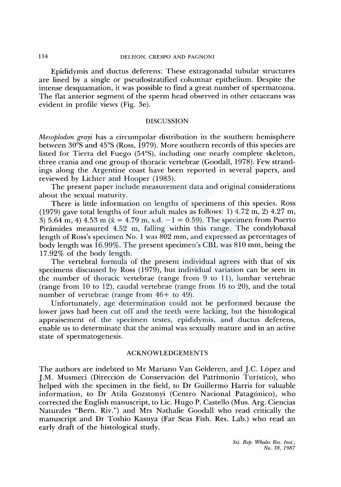Epididymis and ductus deferens: These extragonadal tubular structures are lined by a single or pseudostratified columnar epithelium. Despite the intense desquamation, it was possible to find a great number of spermatozoa. The flat anterior segment of the sperm head observed in other cetaceans was evident in profile views (Fig. 3e).

### DISCUSSION

*Mesoplodon grayi* has a circumpolar distribution in the southern hemisphere between 30°S and 45°S (Ross, 1979). More southern records of this species are listed for Tierra del Fuego (54°S), including one nearly complete skeleton, three crania and one group of thoracic vertebrae (Goodall, 1978). Few strandings along the Argentine coast have been reported in several papers, and reviewed by Lichter and Hooper (1983).

The present paper include measurement data and original considerations about the sexual maturity.

There is little information on lengths of specimens of this species. Ross (1979) gave total lengths of four adult males as follows: 1) 4.72 m, 2) 4.27 m, 3) 5.64 m, 4) 4.53 m ( $\bar{x}$  = 4.79 m, s.d. -1 = 0.59). The specimen from Puerto Piramides measured 4.52 m, falling within this range. The condylobasal length of Ross's specimen No. 1 was 802 mm, and expressed as percentages of body length was 16.99%. The present specimen's CBL was 810 mm, being the 17.92% of the body length.

The vertebral formula of the present individual agrees with that of six specimens discussed by Ross (1979), but individual variation can be seen in the number of thoracic vertebrae (range from 9 to 11), lumbar vertebrae (range from 10 to 12), caudal vertebrae (range from 16 to 20), and the total number of vertebrae (range from  $46+$  to  $49$ ).

Unfortunately, age determination could not be performed because the lower jaws had been cut off and the teeth were lacking, but the histological appraisement of the specimen testes, epididymis, and ductus deferens, enable us to determinate that the animal was sexually mature and in an active state of spermatogenesis.

### ACKNOWLEDGEMENTS

The authors are indebted to Mr Mariano Van Gelderen, and J.C. Lopez and J.M. Musmeci (Direcci6n de Conservaci6n del Patrimonio Turistico), who helped with the specimen in the field, to Dr Guillermo Harris for valuable information, to Dr Atila Gozstonyi (Centro Nacional Patagónico), who corrected the English manuscript, to Lie. Hugo P. Castello (Mus. Arg. Ciencias Naturales "Bern. Riv.") and Mrs Nathalie Goodall who read critically the manuscript and Dr Toshio Kasuya (Far Seas Fish. Res. Lab.) who read an early draft of the histological study.